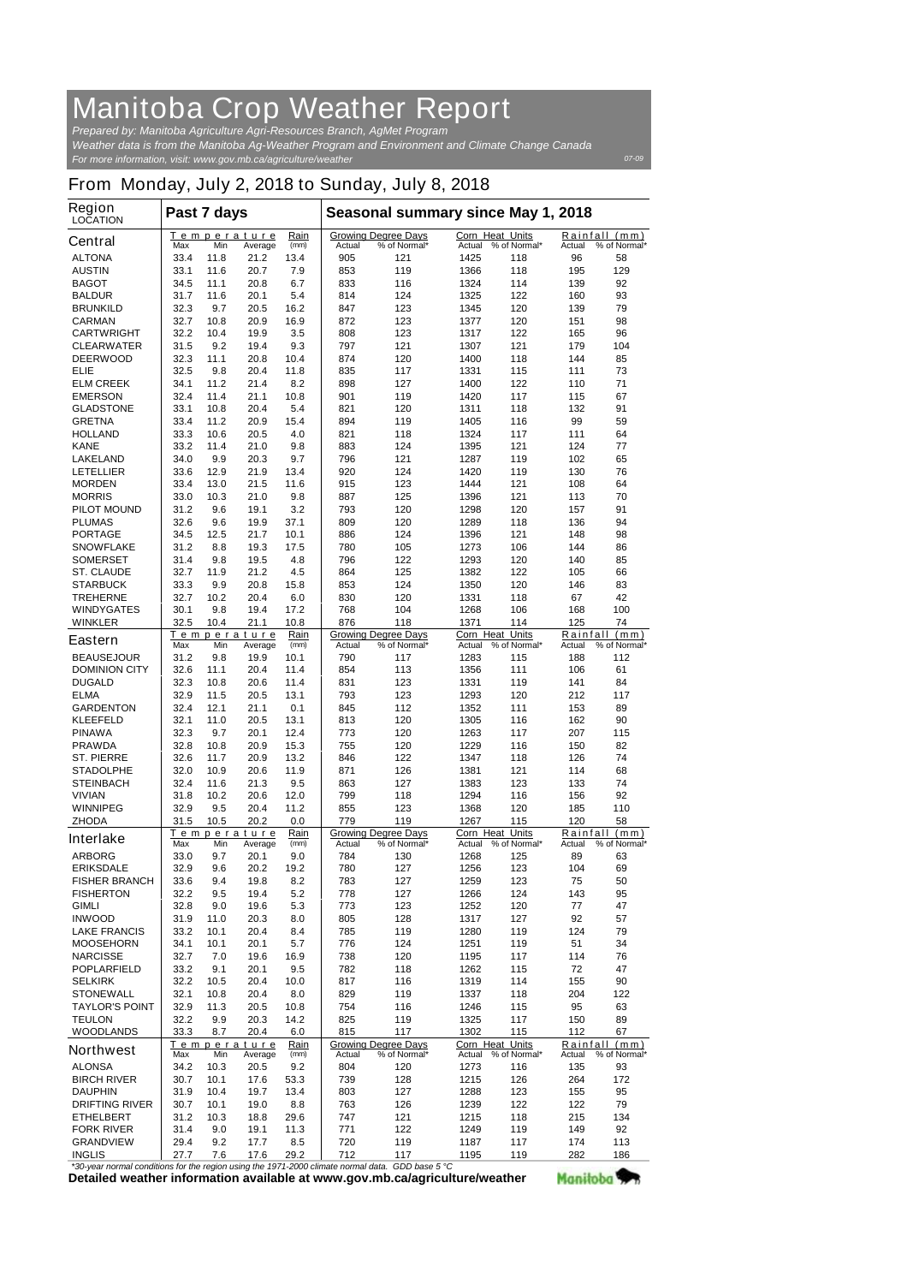## **Manitoba Crop Weather Report**

*For more information, visit: www.gov.mb.ca/agriculture/weather Prepared by: Manitoba Agriculture Agri-Resources Branch, AgMet Program Weather data is from the Manitoba Ag-Weather Program and Environment and Climate Change Canada*

*07-09*

## **From Monday, July 2, 2018 to Sunday, July 8, 2018**

| Region<br><b>LOCATION</b>                | Past 7 days                 |              |                        |              | Seasonal summary since May 1, 2018 |                                            |                           |                     |                 |                               |
|------------------------------------------|-----------------------------|--------------|------------------------|--------------|------------------------------------|--------------------------------------------|---------------------------|---------------------|-----------------|-------------------------------|
| <b>Central</b>                           | Max                         | Min          | Temperature<br>Average | Rain<br>(mm) | Actual                             | <b>Growing Degree Days</b><br>% of Normal* | Corn Heat Units<br>Actual | % of Normal*        | Actual          | Rainfall (mm)<br>% of Normal* |
| <b>ALTONA</b>                            | 33.4                        | 11.8         | 21.2                   | 13.4         | 905                                | 121                                        | 1425                      | 118                 | 96              | 58                            |
| <b>AUSTIN</b>                            | 33.1                        | 11.6         | 20.7                   | 7.9          | 853                                | 119                                        | 1366                      | 118                 | 195             | 129                           |
| <b>BAGOT</b>                             | 34.5                        | 11.1         | 20.8                   | 6.7          | 833                                | 116                                        | 1324                      | 114                 | 139             | 92                            |
| <b>BALDUR</b><br><b>BRUNKILD</b>         | 31.7<br>32.3                | 11.6<br>9.7  | 20.1<br>20.5           | 5.4<br>16.2  | 814<br>847                         | 124<br>123                                 | 1325<br>1345              | 122<br>120          | 160<br>139      | 93<br>79                      |
| <b>CARMAN</b>                            | 32.7                        | 10.8         | 20.9                   | 16.9         | 872                                | 123                                        | 1377                      | 120                 | 151             | 98                            |
| <b>CARTWRIGHT</b>                        | 32.2                        | 10.4         | 19.9                   | 3.5          | 808                                | 123                                        | 1317                      | 122                 | 165             | 96                            |
| <b>CLEARWATER</b>                        | 31.5                        | 9.2          | 19.4                   | 9.3          | 797                                | 121                                        | 1307                      | 121                 | 179             | 104                           |
| <b>DEERWOOD</b>                          | 32.3                        | 11.1         | 20.8                   | 10.4         | 874                                | 120                                        | 1400                      | 118                 | 144             | 85                            |
| <b>ELIE</b><br><b>ELM CREEK</b>          | 32.5<br>34.1                | 9.8<br>11.2  | 20.4<br>21.4           | 11.8<br>8.2  | 835<br>898                         | 117<br>127                                 | 1331<br>1400              | 115<br>122          | 111<br>110      | 73<br>71                      |
| <b>EMERSON</b>                           | 32.4                        | 11.4         | 21.1                   | 10.8         | 901                                | 119                                        | 1420                      | 117                 | 115             | 67                            |
| <b>GLADSTONE</b>                         | 33.1                        | 10.8         | 20.4                   | 5.4          | 821                                | 120                                        | 1311                      | 118                 | 132             | 91                            |
| <b>GRETNA</b>                            | 33.4                        | 11.2         | 20.9                   | 15.4         | 894                                | 119                                        | 1405                      | 116                 | 99              | 59                            |
| <b>HOLLAND</b>                           | 33.3                        | 10.6         | 20.5                   | 4.0          | 821                                | 118                                        | 1324                      | 117                 | 111             | 64                            |
| <b>KANE</b><br><b>LAKELAND</b>           | 33.2<br>34.0                | 11.4<br>9.9  | 21.0<br>20.3           | 9.8<br>9.7   | 883<br>796                         | 124<br>121                                 | 1395<br>1287              | 121<br>119          | 124<br>102      | 77<br>65                      |
| <b>LETELLIER</b>                         | 33.6                        | 12.9         | 21.9                   | 13.4         | 920                                | 124                                        | 1420                      | 119                 | 130             | 76                            |
| <b>MORDEN</b>                            | 33.4                        | 13.0         | 21.5                   | 11.6         | 915                                | 123                                        | 1444                      | 121                 | 108             | 64                            |
| <b>MORRIS</b>                            | 33.0                        | 10.3         | 21.0                   | 9.8          | 887                                | 125                                        | 1396                      | 121                 | 113             | 70                            |
| <b>PILOT MOUND</b>                       | 31.2                        | 9.6          | 19.1                   | 3.2          | 793                                | 120                                        | 1298                      | 120                 | 157             | 91                            |
| <b>PLUMAS</b>                            | 32.6                        | 9.6          | 19.9<br>21.7           | 37.1<br>10.1 | 809                                | 120<br>124                                 | 1289                      | 118<br>121          | 136<br>148      | 94<br>98                      |
| <b>PORTAGE</b><br><b>SNOWFLAKE</b>       | 34.5<br>31.2                | 12.5<br>8.8  | 19.3                   | 17.5         | 886<br>780                         | 105                                        | 1396<br>1273              | 106                 | 144             | 86                            |
| <b>SOMERSET</b>                          | 31.4                        | 9.8          | 19.5                   | 4.8          | 796                                | 122                                        | 1293                      | 120                 | 140             | 85                            |
| <b>ST. CLAUDE</b>                        | 32.7                        | 11.9         | 21.2                   | 4.5          | 864                                | 125                                        | 1382                      | 122                 | 105             | 66                            |
| <b>STARBUCK</b>                          | 33.3                        | 9.9          | 20.8                   | 15.8         | 853                                | 124                                        | 1350                      | 120                 | 146             | 83                            |
| <b>TREHERNE</b>                          | 32.7                        | 10.2         | 20.4                   | 6.0          | 830                                | 120                                        | 1331                      | 118                 | 67              | 42                            |
| <b>WINDYGATES</b><br><b>WINKLER</b>      | 30.1<br>32.5                | 9.8<br>10.4  | 19.4                   | 17.2<br>10.8 | 768<br>876                         | 104<br>118                                 | 1268<br>1371              | 106<br>114          | 168<br>125      | 100<br>74                     |
|                                          | 21.1<br>Rain<br>Temperature |              |                        |              | <b>Growing Degree Days</b>         | Corn Heat Units                            |                           | Rainfall (mm)       |                 |                               |
| <b>Eastern</b>                           | Max                         | Min          | Average                | (mm)         | Actual                             | % of Normal*                               | Actual                    | % of Normal*        | Actual          | % of Normal*                  |
| <b>BEAUSEJOUR</b>                        | 31.2                        | 9.8          | 19.9                   | 10.1         | 790                                | 117                                        | 1283                      | 115                 | 188             | 112                           |
| <b>DOMINION CITY</b><br><b>DUGALD</b>    | 32.6<br>32.3                | 11.1<br>10.8 | 20.4<br>20.6           | 11.4<br>11.4 | 854<br>831                         | 113<br>123                                 | 1356<br>1331              | 111<br>119          | 106<br>141      | 61<br>84                      |
| <b>ELMA</b>                              | 32.9                        | 11.5         | 20.5                   | 13.1         | 793                                | 123                                        | 1293                      | 120                 | 212             | 117                           |
| <b>GARDENTON</b>                         | 32.4                        | 12.1         | 21.1                   | 0.1          | 845                                | 112                                        | 1352                      | 111                 | 153             | 89                            |
| <b>KLEEFELD</b>                          | 32.1                        | 11.0         | 20.5                   | 13.1         | 813                                | 120                                        | 1305                      | 116                 | 162             | 90                            |
| <b>PINAWA</b>                            | 32.3                        | 9.7          | 20.1                   | 12.4         | 773                                | 120                                        | 1263                      | 117                 | 207             | 115                           |
| <b>PRAWDA</b><br><b>ST. PIERRE</b>       | 32.8<br>32.6                | 10.8<br>11.7 | 20.9<br>20.9           | 15.3<br>13.2 | 755<br>846                         | 120<br>122                                 | 1229<br>1347              | 116<br>118          | 150<br>126      | 82<br>74                      |
| <b>STADOLPHE</b>                         | 32.0                        | 10.9         | 20.6                   | 11.9         | 871                                | 126                                        | 1381                      | 121                 | 114             | 68                            |
| <b>STEINBACH</b>                         | 32.4                        | 11.6         | 21.3                   | 9.5          | 863                                | 127                                        | 1383                      | 123                 | 133             | 74                            |
| <b>VIVIAN</b>                            | 31.8                        | 10.2         | 20.6                   | 12.0         | 799                                | 118                                        | 1294                      | 116                 | 156             | 92                            |
| <b>WINNIPEG</b>                          | 32.9                        | 9.5          | 20.4                   | 11.2         | 855                                | 123                                        | 1368                      | 120                 | 185             | 110                           |
| <b>ZHODA</b>                             | 31.5                        | 10.5         | 20.2<br>Temperature    | 0.0<br>Rain  | 779                                | 119<br><b>Growing Degree Days</b>          | 1267<br>Corn Heat Units   | 115                 | 120             | 58<br>Rainfall (mm)           |
| <b>Interlake</b>                         | Max                         | Min          | Average                | (mm)         | <b>Actual</b>                      | % of Normal*                               |                           | Actual % of Normal* | Actual          | % of Normal*                  |
| <b>ARBORG</b>                            | 33.0                        | 9.7          | 20.1                   | 9.0          | 784                                | 130                                        | 1268                      | 125                 | 89              | 63                            |
| <b>ERIKSDALE</b>                         | 32.9                        | 9.6          | 20.2                   | 19.2         | 780                                | 127                                        | 1256                      | 123                 | 104             | 69                            |
| <b>FISHER BRANCH</b><br><b>FISHERTON</b> | 33.6<br>32.2                | 9.4<br>9.5   | 19.8<br>19.4           | 8.2<br>5.2   | 783<br>778                         | 127<br>127                                 | 1259<br>1266              | 123<br>124          | 75<br>143       | 50<br>95                      |
| <b>GIMLI</b>                             | 32.8                        | 9.0          | 19.6                   | 5.3          | 773                                | 123                                        | 1252                      | 120                 | 77              | 47                            |
| <b>INWOOD</b>                            | 31.9                        | 11.0         | 20.3                   | 8.0          | 805                                | 128                                        | 1317                      | 127                 | 92              | 57                            |
| <b>LAKE FRANCIS</b>                      | 33.2                        | 10.1         | 20.4                   | 8.4          | 785                                | 119                                        | 1280                      | 119                 | 124             | 79                            |
| <b>MOOSEHORN</b>                         | 34.1                        | 10.1         | 20.1                   | 5.7          | 776                                | 124                                        | 1251                      | 119                 | 51              | 34                            |
| <b>NARCISSE</b><br><b>POPLARFIELD</b>    | 32.7<br>33.2                | 7.0<br>9.1   | 19.6<br>20.1           | 16.9<br>9.5  | 738<br>782                         | 120<br>118                                 | 1195<br>1262              | 117<br>115          | 114<br>72       | 76<br>47                      |
| <b>SELKIRK</b>                           | 32.2                        | 10.5         | 20.4                   | 10.0         | 817                                | 116                                        | 1319                      | 114                 | 155             | 90                            |
| <b>STONEWALL</b>                         | 32.1                        | 10.8         | 20.4                   | 8.0          | 829                                | 119                                        | 1337                      | 118                 | 204             | 122                           |
| <b>TAYLOR'S POINT</b>                    | 32.9                        | 11.3         | 20.5                   | 10.8         | 754                                | 116                                        | 1246                      | 115                 | 95              | 63                            |
| <b>TEULON</b>                            | 32.2                        | 9.9          | 20.3                   | 14.2         | 825                                | 119                                        | 1325                      | 117                 | 150             | 89                            |
| <b>WOODLANDS</b>                         | 33.3                        | 8.7          | 20.4<br>Temperature    | 6.0<br>Rain  | 815                                | 117<br><b>Growing Degree Days</b>          | 1302<br>Corn Heat Units   | 115                 | 112<br>Rainfall | 67<br>(mm)                    |
| <b>Northwest</b>                         | Max                         | Min          | Average                | (mm)         | Actual                             | % of Normal*                               | Actual                    | % of Normal*        | Actual          | % of Normal*                  |
| <b>ALONSA</b>                            | 34.2                        | 10.3         | 20.5                   | 9.2          | 804                                | 120                                        | 1273                      | 116                 | 135             | 93                            |
| <b>BIRCH RIVER</b>                       | 30.7                        | 10.1         | 17.6                   | 53.3         | 739                                | 128                                        | 1215                      | 126                 | 264             | 172                           |
| <b>DAUPHIN</b><br><b>DRIFTING RIVER</b>  | 31.9<br>30.7                | 10.4<br>10.1 | 19.7<br>19.0           | 13.4<br>8.8  | 803<br>763                         | 127<br>126                                 | 1288<br>1239              | 123<br>122          | 155<br>122      | 95<br>79                      |
| <b>ETHELBERT</b>                         | 31.2                        | 10.3         | 18.8                   | 29.6         | 747                                | 121                                        | 1215                      | 118                 | 215             | 134                           |
| <b>FORK RIVER</b>                        | 31.4                        | 9.0          | 19.1                   | 11.3         | 771                                | 122                                        | 1249                      | 119                 | 149             | 92                            |
| <b>GRANDVIEW</b>                         | 29.4                        | 9.2          | 17.7                   | 8.5          | 720                                | 119                                        | 1187                      | 117                 | 174             | 113                           |
| <b>INGLIS</b>                            | 27.7                        | 7.6          | 17.6                   | 29.2         | 712                                | 117                                        | 1195                      | 119                 | 282             | 186                           |

**Detailed weather information available at www.gov.mb.ca/agriculture/weather** *\*30-year normal conditions for the region using the 1971-2000 climate normal data. GDD base 5 °C* Manitoba<sup>y</sup>